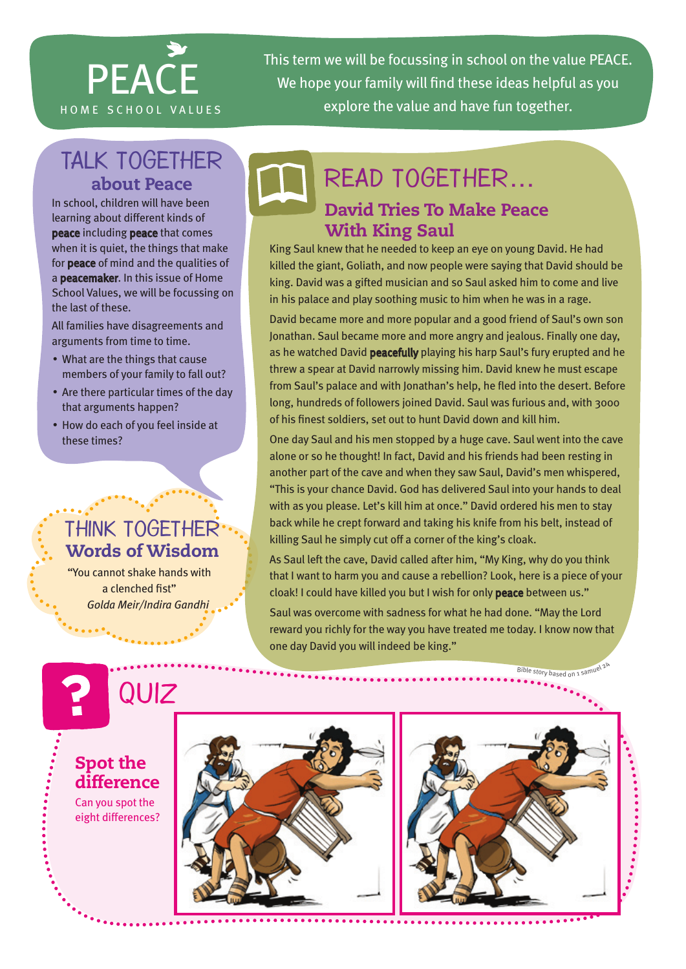

This term we will be focussing in school on the value PEACE. We hope your family will find these ideas helpful as you HOME SCHOOL VALUES explore the value and have fun together.

## TALK TOGETHER about Peace

In school, children will have been learning about different kinds of peace including peace that comes when it is quiet, the things that make for peace of mind and the qualities of a peacemaker. In this issue of Home School Values, we will be focussing on the last of these.

All families have disagreements and arguments from time to time.

- What are the things that cause members of your family to fall out?
- Are there particular times of the day that arguments happen?
- How do each of you feel inside at these times?

### Think together Words of Wisdom

"You cannot shake hands with a clenched fist" *Golda Meir/Indira Gandhi*



## David Tries To Make Peace Read together…

#### With King Saul

King Saul knew that he needed to keep an eye on young David. He had killed the giant, Goliath, and now people were saying that David should be king. David was a gifted musician and so Saul asked him to come and live in his palace and play soothing music to him when he was in a rage.

David became more and more popular and a good friend of Saul's own son Jonathan. Saul became more and more angry and jealous. Finally one day, as he watched David peacefully playing his harp Saul's fury erupted and he threw a spear at David narrowly missing him. David knew he must escape from Saul's palace and with Jonathan's help, he fled into the desert. Before long, hundreds of followers joined David. Saul was furious and, with 3000 of his finest soldiers, set out to hunt David down and kill him.

One day Saul and his men stopped by a huge cave. Saul went into the cave alone or so he thought! In fact, David and his friends had been resting in another part of the cave and when they saw Saul, David's men whispered, "This is your chance David. God has delivered Saul into your hands to deal with as you please. Let's kill him at once." David ordered his men to stay back while he crept forward and taking his knife from his belt, instead of killing Saul he simply cut off a corner of the king's cloak.

As Saul left the cave, David called after him, "My King, why do you think that I want to harm you and cause a rebellion? Look, here is a piece of your cloak! I could have killed you but I wish for only peace between us."

Saul was overcome with sadness for what he had done. "May the Lord reward you richly for the way you have treated me today. I know now that one day David you will indeed be king."

Spot the difference Can you spot the eight differences? **QUIZ** Bible story based on 1 sa